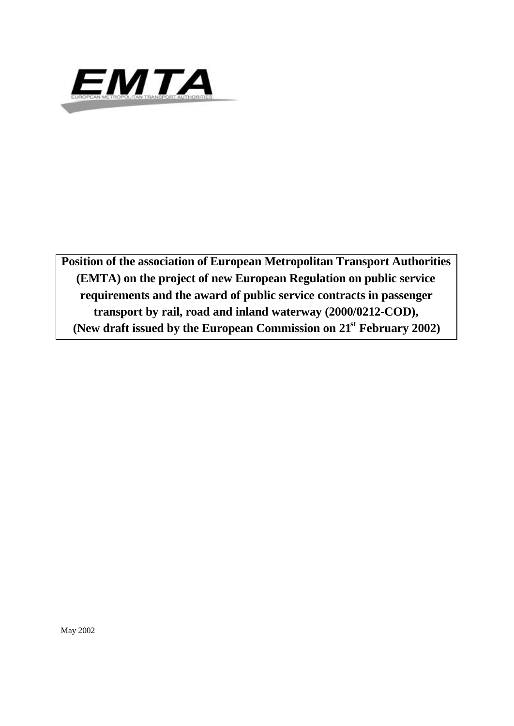

**Position of the association of European Metropolitan Transport Authorities (EMTA) on the project of new European Regulation on public service requirements and the award of public service contracts in passenger transport by rail, road and inland waterway (2000/0212-COD), (New draft issued by the European Commission on 21st February 2002)**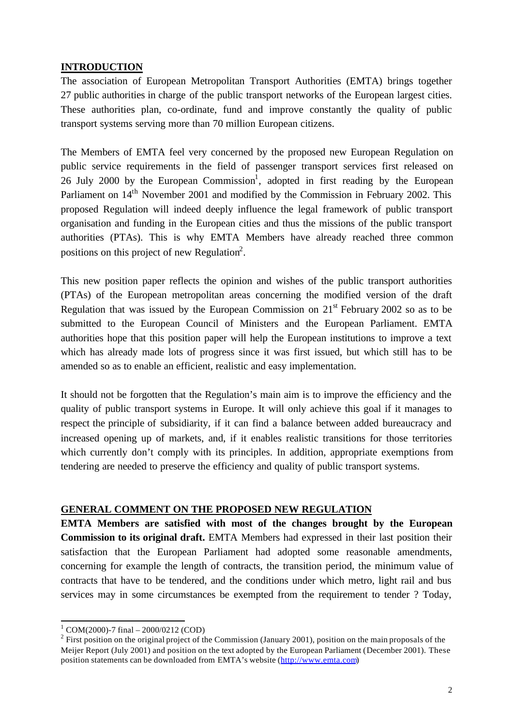# **INTRODUCTION**

The association of European Metropolitan Transport Authorities (EMTA) brings together 27 public authorities in charge of the public transport networks of the European largest cities. These authorities plan, co-ordinate, fund and improve constantly the quality of public transport systems serving more than 70 million European citizens.

The Members of EMTA feel very concerned by the proposed new European Regulation on public service requirements in the field of passenger transport services first released on 26 July 2000 by the European Commission<sup>1</sup>, adopted in first reading by the European Parliament on 14<sup>th</sup> November 2001 and modified by the Commission in February 2002. This proposed Regulation will indeed deeply influence the legal framework of public transport organisation and funding in the European cities and thus the missions of the public transport authorities (PTAs). This is why EMTA Members have already reached three common positions on this project of new Regulation<sup>2</sup>.

This new position paper reflects the opinion and wishes of the public transport authorities (PTAs) of the European metropolitan areas concerning the modified version of the draft Regulation that was issued by the European Commission on  $21<sup>st</sup>$  February 2002 so as to be submitted to the European Council of Ministers and the European Parliament. EMTA authorities hope that this position paper will help the European institutions to improve a text which has already made lots of progress since it was first issued, but which still has to be amended so as to enable an efficient, realistic and easy implementation.

It should not be forgotten that the Regulation's main aim is to improve the efficiency and the quality of public transport systems in Europe. It will only achieve this goal if it manages to respect the principle of subsidiarity, if it can find a balance between added bureaucracy and increased opening up of markets, and, if it enables realistic transitions for those territories which currently don't comply with its principles. In addition, appropriate exemptions from tendering are needed to preserve the efficiency and quality of public transport systems.

# **GENERAL COMMENT ON THE PROPOSED NEW REGULATION**

**EMTA Members are satisfied with most of the changes brought by the European Commission to its original draft.** EMTA Members had expressed in their last position their satisfaction that the European Parliament had adopted some reasonable amendments, concerning for example the length of contracts, the transition period, the minimum value of contracts that have to be tendered, and the conditions under which metro, light rail and bus services may in some circumstances be exempted from the requirement to tender ? Today,

l

 $1$  COM(2000)-7 final - 2000/0212 (COD)

 $2$  First position on the original project of the Commission (January 2001), position on the main proposals of the Meijer Report (July 2001) and position on the text adopted by the European Parliament (December 2001). These position statements can be downloaded from EMTA's website (http://www.emta.com)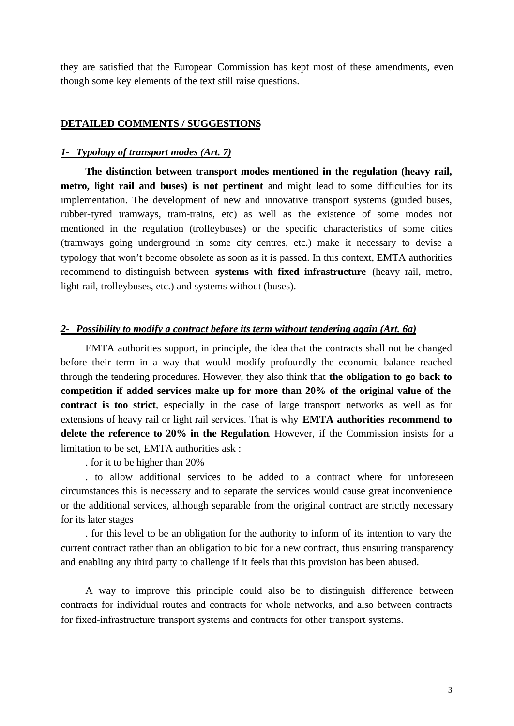they are satisfied that the European Commission has kept most of these amendments, even though some key elements of the text still raise questions.

#### **DETAILED COMMENTS / SUGGESTIONS**

#### *1- Typology of transport modes (Art. 7)*

**The distinction between transport modes mentioned in the regulation (heavy rail, metro, light rail and buses) is not pertinent** and might lead to some difficulties for its implementation. The development of new and innovative transport systems (guided buses, rubber-tyred tramways, tram-trains, etc) as well as the existence of some modes not mentioned in the regulation (trolleybuses) or the specific characteristics of some cities (tramways going underground in some city centres, etc.) make it necessary to devise a typology that won't become obsolete as soon as it is passed. In this context, EMTA authorities recommend to distinguish between **systems with fixed infrastructure** (heavy rail, metro, light rail, trolleybuses, etc.) and systems without (buses).

#### *2- Possibility to modify a contract before its term without tendering again (Art. 6a)*

EMTA authorities support, in principle, the idea that the contracts shall not be changed before their term in a way that would modify profoundly the economic balance reached through the tendering procedures. However, they also think that **the obligation to go back to competition if added services make up for more than 20% of the original value of the contract is too strict**, especially in the case of large transport networks as well as for extensions of heavy rail or light rail services. That is why **EMTA authorities recommend to delete the reference to 20% in the Regulation**. However, if the Commission insists for a limitation to be set, EMTA authorities ask :

. for it to be higher than 20%

. to allow additional services to be added to a contract where for unforeseen circumstances this is necessary and to separate the services would cause great inconvenience or the additional services, although separable from the original contract are strictly necessary for its later stages

. for this level to be an obligation for the authority to inform of its intention to vary the current contract rather than an obligation to bid for a new contract, thus ensuring transparency and enabling any third party to challenge if it feels that this provision has been abused.

A way to improve this principle could also be to distinguish difference between contracts for individual routes and contracts for whole networks, and also between contracts for fixed-infrastructure transport systems and contracts for other transport systems.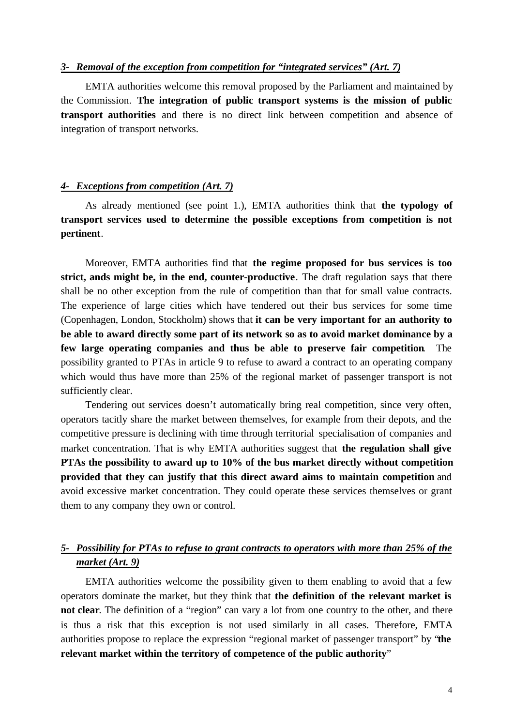#### *3- Removal of the exception from competition for "integrated services" (Art. 7)*

EMTA authorities welcome this removal proposed by the Parliament and maintained by the Commission. **The integration of public transport systems is the mission of public transport authorities** and there is no direct link between competition and absence of integration of transport networks.

#### *4- Exceptions from competition (Art. 7)*

As already mentioned (see point 1.), EMTA authorities think that **the typology of transport services used to determine the possible exceptions from competition is not pertinent**.

Moreover, EMTA authorities find that **the regime proposed for bus services is too strict, ands might be, in the end, counter-productive**. The draft regulation says that there shall be no other exception from the rule of competition than that for small value contracts. The experience of large cities which have tendered out their bus services for some time (Copenhagen, London, Stockholm) shows that **it can be very important for an authority to be able to award directly some part of its network so as to avoid market dominance by a few large operating companies and thus be able to preserve fair competition**. The possibility granted to PTAs in article 9 to refuse to award a contract to an operating company which would thus have more than 25% of the regional market of passenger transport is not sufficiently clear.

Tendering out services doesn't automatically bring real competition, since very often, operators tacitly share the market between themselves, for example from their depots, and the competitive pressure is declining with time through territorial specialisation of companies and market concentration. That is why EMTA authorities suggest that **the regulation shall give PTAs the possibility to award up to 10% of the bus market directly without competition provided that they can justify that this direct award aims to maintain competition** and avoid excessive market concentration. They could operate these services themselves or grant them to any company they own or control.

# *5- Possibility for PTAs to refuse to grant contracts to operators with more than 25% of the market (Art. 9)*

EMTA authorities welcome the possibility given to them enabling to avoid that a few operators dominate the market, but they think that **the definition of the relevant market is not clear**. The definition of a "region" can vary a lot from one country to the other, and there is thus a risk that this exception is not used similarly in all cases. Therefore, EMTA authorities propose to replace the expression "regional market of passenger transport" by "**the relevant market within the territory of competence of the public authority**"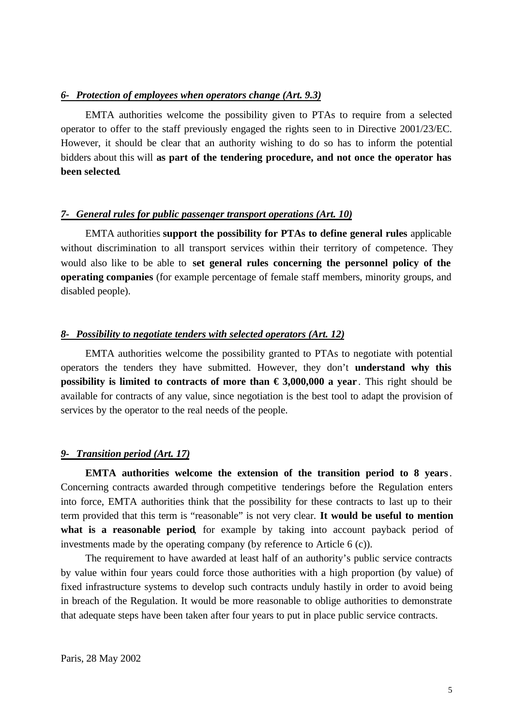## *6- Protection of employees when operators change (Art. 9.3)*

EMTA authorities welcome the possibility given to PTAs to require from a selected operator to offer to the staff previously engaged the rights seen to in Directive 2001/23/EC. However, it should be clear that an authority wishing to do so has to inform the potential bidders about this will **as part of the tendering procedure, and not once the operator has been selected**.

## *7- General rules for public passenger transport operations (Art. 10)*

EMTA authorities **support the possibility for PTAs to define general rules** applicable without discrimination to all transport services within their territory of competence. They would also like to be able to **set general rules concerning the personnel policy of the operating companies** (for example percentage of female staff members, minority groups, and disabled people).

## *8- Possibility to negotiate tenders with selected operators (Art. 12)*

EMTA authorities welcome the possibility granted to PTAs to negotiate with potential operators the tenders they have submitted. However, they don't **understand why this possibility is limited to contracts of more than**  $\epsilon$  **3,000,000 a year**. This right should be available for contracts of any value, since negotiation is the best tool to adapt the provision of services by the operator to the real needs of the people.

#### *9- Transition period (Art. 17)*

**EMTA authorities welcome the extension of the transition period to 8 years**. Concerning contracts awarded through competitive tenderings before the Regulation enters into force, EMTA authorities think that the possibility for these contracts to last up to their term provided that this term is "reasonable" is not very clear. **It would be useful to mention what is a reasonable period**, for example by taking into account payback period of investments made by the operating company (by reference to Article 6 (c)).

The requirement to have awarded at least half of an authority's public service contracts by value within four years could force those authorities with a high proportion (by value) of fixed infrastructure systems to develop such contracts unduly hastily in order to avoid being in breach of the Regulation. It would be more reasonable to oblige authorities to demonstrate that adequate steps have been taken after four years to put in place public service contracts.